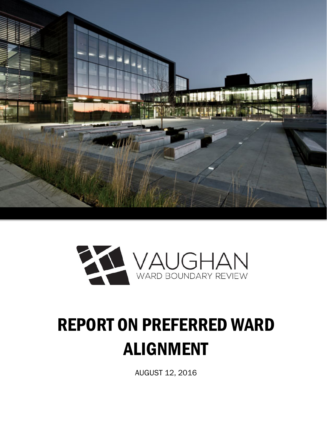



# REPORT ON PREFERRED WARD ALIGNMENT

AUGUST 12, 2016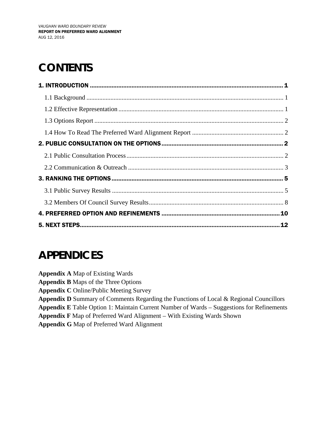# **CONTENTS**

## **APPENDICES**

**Appendix A** Map of Existing Wards

**Appendix B** Maps of the Three Options

**Appendix C** Online/Public Meeting Survey

**Appendix D** Summary of Comments Regarding the Functions of Local & Regional Councillors

**Appendix E** Table Option 1: Maintain Current Number of Wards – Suggestions for Refinements

**Appendix F** Map of Preferred Ward Alignment – With Existing Wards Shown

**Appendix G** Map of Preferred Ward Alignment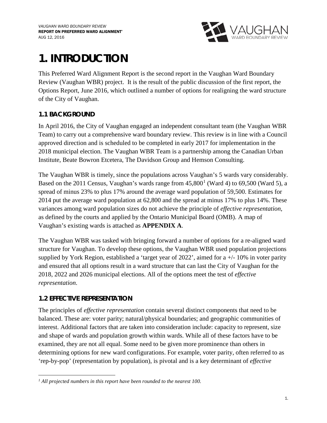

# **1. INTRODUCTION**

This Preferred Ward Alignment Report is the second report in the Vaughan Ward Boundary Review (Vaughan WBR) project. It is the result of the public discussion of the first report, the Options Report, June 2016, which outlined a number of options for realigning the ward structure of the City of Vaughan.

#### **1.1 BACKGROUND**

In April 2016, the City of Vaughan engaged an independent consultant team (the Vaughan WBR Team) to carry out a comprehensive ward boundary review. This review is in line with a Council approved direction and is scheduled to be completed in early 2017 for implementation in the 2018 municipal election. The Vaughan WBR Team is a partnership among the Canadian Urban Institute, Beate Bowron Etcetera, The Davidson Group and Hemson Consulting.

The Vaughan WBR is timely, since the populations across Vaughan's 5 wards vary considerably. Based on the 20[1](#page-2-0)1 Census, Vaughan's wards range from  $45,800<sup>1</sup>$  (Ward 4) to 69,500 (Ward 5), a spread of minus 23% to plus 17% around the average ward population of 59,500. Estimates for 2014 put the average ward population at 62,800 and the spread at minus 17% to plus 14%. These variances among ward population sizes do not achieve the principle of *effective representation*, as defined by the courts and applied by the Ontario Municipal Board (OMB). A map of Vaughan's existing wards is attached as **APPENDIX A**.

The Vaughan WBR was tasked with bringing forward a number of options for a re-aligned ward structure for Vaughan. To develop these options, the Vaughan WBR used population projections supplied by York Region, established a 'target year of 2022', aimed for a  $+/-10\%$  in voter parity and ensured that all options result in a ward structure that can last the City of Vaughan for the 2018, 2022 and 2026 municipal elections. All of the options meet the test of *effective representation*.

#### **1.2 EFFECTIVE REPRESENTATION**

The principles of *effective representation* contain several distinct components that need to be balanced. These are: voter parity; natural/physical boundaries; and geographic communities of interest. Additional factors that are taken into consideration include: capacity to represent, size and shape of wards and population growth within wards. While all of these factors have to be examined, they are not all equal. Some need to be given more prominence than others in determining options for new ward configurations. For example, voter parity, often referred to as 'rep-by-pop' (representation by population), is pivotal and is a key determinant of *effective* 

<span id="page-2-0"></span> $\overline{a}$ *<sup>1</sup> All projected numbers in this report have been rounded to the nearest 100.*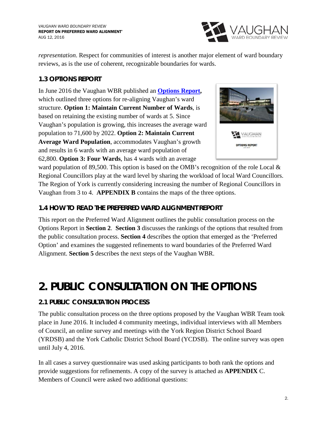

*representation*. Respect for communities of interest is another major element of ward boundary reviews, as is the use of coherent, recognizable boundaries for wards.

#### **1.3 OPTIONS REPORT**

In June 2016 the Vaughan WBR published an **[Options Report,](https://www.vaughan.ca/projects/city_government/boundary_review/General%20Documents/VaughanWBROptionsReport-FINAL.pdf)**  which outlined three options for re-aligning Vaughan's ward structure. **Option 1: Maintain Current Number of Wards**, is based on retaining the existing number of wards at 5. Since Vaughan's population is growing, this increases the average ward population to 71,600 by 2022. **Option 2: Maintain Current Average Ward Population**, accommodates Vaughan's growth and results in 6 wards with an average ward population of 62,800. **Option 3: Four Wards**, has 4 wards with an average



ward population of 89,500. This option is based on the OMB's recognition of the role Local & Regional Councillors play at the ward level by sharing the workload of local Ward Councillors. The Region of York is currently considering increasing the number of Regional Councillors in Vaughan from 3 to 4. **APPENDIX B** contains the maps of the three options.

#### **1.4 HOW TO READ THE PREFERRED WARD ALIGNMENT REPORT**

This report on the Preferred Ward Alignment outlines the public consultation process on the Options Report in **Section 2**. **Section 3** discusses the rankings of the options that resulted from the public consultation process. **Section 4** describes the option that emerged as the 'Preferred Option' and examines the suggested refinements to ward boundaries of the Preferred Ward Alignment. **Section 5** describes the next steps of the Vaughan WBR.

## **2. PUBLIC CONSULTATION ON THE OPTIONS**

#### **2.1 PUBLIC CONSULTATION PROCESS**

The public consultation process on the three options proposed by the Vaughan WBR Team took place in June 2016. It included 4 community meetings, individual interviews with all Members of Council, an online survey and meetings with the York Region District School Board (YRDSB) and the York Catholic District School Board (YCDSB). The online survey was open until July 4, 2016.

In all cases a survey questionnaire was used asking participants to both rank the options and provide suggestions for refinements. A copy of the survey is attached as **APPENDIX** C. Members of Council were asked two additional questions: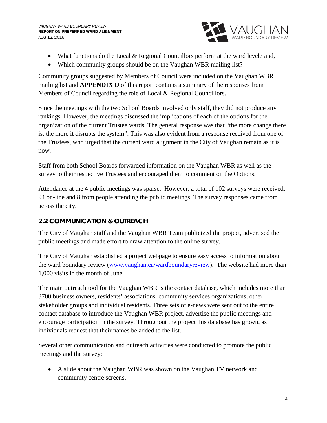

- What functions do the Local & Regional Councillors perform at the ward level? and,
- Which community groups should be on the Vaughan WBR mailing list?

Community groups suggested by Members of Council were included on the Vaughan WBR mailing list and **APPENDIX D** of this report contains a summary of the responses from Members of Council regarding the role of Local & Regional Councillors.

Since the meetings with the two School Boards involved only staff, they did not produce any rankings. However, the meetings discussed the implications of each of the options for the organization of the current Trustee wards. The general response was that "the more change there is, the more it disrupts the system". This was also evident from a response received from one of the Trustees, who urged that the current ward alignment in the City of Vaughan remain as it is now.

Staff from both School Boards forwarded information on the Vaughan WBR as well as the survey to their respective Trustees and encouraged them to comment on the Options.

Attendance at the 4 public meetings was sparse. However, a total of 102 surveys were received, 94 on-line and 8 from people attending the public meetings. The survey responses came from across the city.

#### **2.2 COMMUNICATION & OUTREACH**

The City of Vaughan staff and the Vaughan WBR Team publicized the project, advertised the public meetings and made effort to draw attention to the online survey.

The City of Vaughan established a project webpage to ensure easy access to information about the ward boundary review [\(www.vaughan.ca/wardboundaryreview\)](http://www.vaughan.ca/wardboundaryreview). The website had more than 1,000 visits in the month of June.

The main outreach tool for the Vaughan WBR is the contact database, which includes more than 3700 business owners, residents' associations, community services organizations, other stakeholder groups and individual residents. Three sets of e-news were sent out to the entire contact database to introduce the Vaughan WBR project, advertise the public meetings and encourage participation in the survey. Throughout the project this database has grown, as individuals request that their names be added to the list.

Several other communication and outreach activities were conducted to promote the public meetings and the survey:

• A slide about the Vaughan WBR was shown on the Vaughan TV network and community centre screens.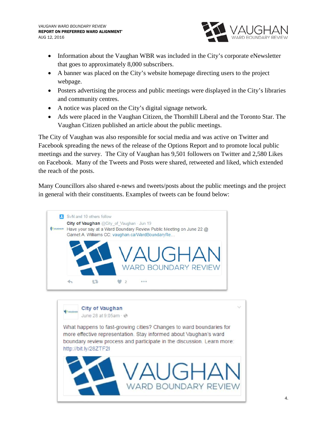

- Information about the Vaughan WBR was included in the City's corporate eNewsletter that goes to approximately 8,000 subscribers.
- A banner was placed on the City's website homepage directing users to the project webpage.
- Posters advertising the process and public meetings were displayed in the City's libraries and community centres.
- A notice was placed on the City's digital signage network.
- Ads were placed in the Vaughan Citizen, the Thornhill Liberal and the Toronto Star. The Vaughan Citizen published an article about the public meetings.

The City of Vaughan was also responsible for social media and was active on Twitter and Facebook spreading the news of the release of the Options Report and to promote local public meetings and the survey. The City of Vaughan has 9,501 followers on Twitter and 2,580 Likes on Facebook. Many of the Tweets and Posts were shared, retweeted and liked, which extended the reach of the posts.

Many Councillors also shared e-news and tweets/posts about the public meetings and the project in general with their constituents. Examples of tweets can be found below:



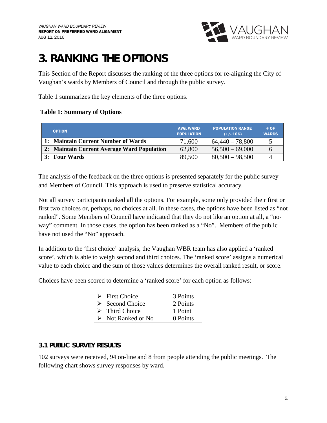

## **3. RANKING THE OPTIONS**

This Section of the Report discusses the ranking of the three options for re-aligning the City of Vaughan's wards by Members of Council and through the public survey.

Table 1 summarizes the key elements of the three options.

#### **Table 1: Summary of Options**

| <b>OPTION</b>                               | <b>AVG. WARD</b><br><b>POPULATION</b> | <b>POPULATION RANGE</b><br>$(+/- 10%)$ | #OF<br><b>WARDS</b> |
|---------------------------------------------|---------------------------------------|----------------------------------------|---------------------|
| 1: Maintain Current Number of Wards         | 71,600                                | $64,440 - 78,800$                      |                     |
| 2: Maintain Current Average Ward Population | 62,800                                | $56,500 - 69,000$                      |                     |
| 3: Four Wards                               | 89,500                                | $80,500 - 98,500$                      |                     |

The analysis of the feedback on the three options is presented separately for the public survey and Members of Council. This approach is used to preserve statistical accuracy.

Not all survey participants ranked all the options. For example, some only provided their first or first two choices or, perhaps, no choices at all. In these cases, the options have been listed as "not ranked". Some Members of Council have indicated that they do not like an option at all, a "noway" comment. In those cases, the option has been ranked as a "No". Members of the public have not used the "No" approach.

In addition to the 'first choice' analysis, the Vaughan WBR team has also applied a 'ranked score', which is able to weigh second and third choices. The 'ranked score' assigns a numerical value to each choice and the sum of those values determines the overall ranked result, or score.

Choices have been scored to determine a 'ranked score' for each option as follows:

| $\triangleright$ First Choice     | 3 Points |
|-----------------------------------|----------|
| $\triangleright$ Second Choice    | 2 Points |
| $\triangleright$ Third Choice     | 1 Point  |
| $\triangleright$ Not Ranked or No | 0 Points |

#### **3.1 PUBLIC SURVEY RESULTS**

102 surveys were received, 94 on-line and 8 from people attending the public meetings. The following chart shows survey responses by ward.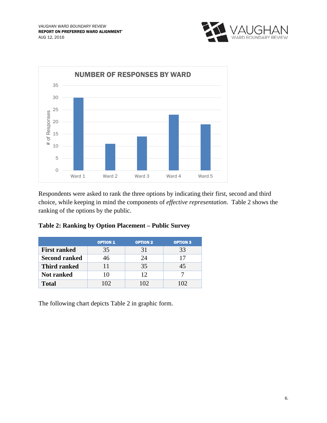



Respondents were asked to rank the three options by indicating their first, second and third choice, while keeping in mind the components of *effective representation*. Table 2 shows the ranking of the options by the public.

|  |  |  | Table 2: Ranking by Option Placement - Public Survey |
|--|--|--|------------------------------------------------------|
|--|--|--|------------------------------------------------------|

|                      | <b>OPTION 1</b> | <b>OPTION 2</b> | <b>OPTION 3</b> |
|----------------------|-----------------|-----------------|-----------------|
| <b>First ranked</b>  | 35              | 31              | 33              |
| <b>Second ranked</b> | 46              | 24              | 17              |
| <b>Third ranked</b>  |                 | 35              | 45              |
| Not ranked           | 10              | 12              |                 |
| <b>Total</b>         | 102             | $\Omega$        |                 |

The following chart depicts Table 2 in graphic form.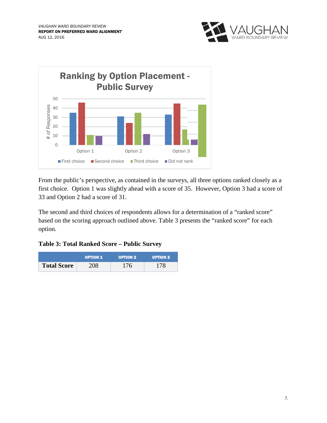



From the public's perspective, as contained in the surveys, all three options ranked closely as a first choice. Option 1 was slightly ahead with a score of 35. However, Option 3 had a score of 33 and Option 2 had a score of 31.

The second and third choices of respondents allows for a determination of a "ranked score" based on the scoring approach outlined above. Table 3 presents the "ranked score" for each option.

**Table 3: Total Ranked Score – Public Survey**

|                    | <b>OPTION 1</b> | <b>OPTION 2</b> | <b>OPTION 3</b> |
|--------------------|-----------------|-----------------|-----------------|
| <b>Total Score</b> | 208             | 176             | 178             |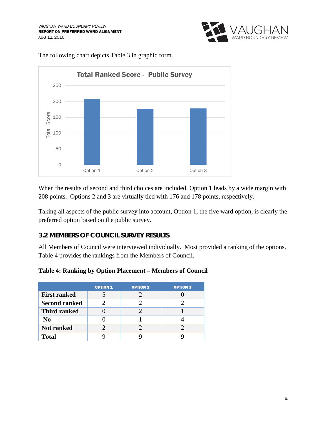



The following chart depicts Table 3 in graphic form.

When the results of second and third choices are included, Option 1 leads by a wide margin with 208 points. Options 2 and 3 are virtually tied with 176 and 178 points, respectively.

Taking all aspects of the public survey into account, Option 1, the five ward option, is clearly the preferred option based on the public survey.

#### **3.2 MEMBERS OF COUNCIL SURVEY RESULTS**

All Members of Council were interviewed individually. Most provided a ranking of the options. Table 4 provides the rankings from the Members of Council.

|                      | <b>OPTION 1</b> | <b>OPTION 2</b> | <b>OPTION 3</b> |
|----------------------|-----------------|-----------------|-----------------|
| <b>First ranked</b>  |                 |                 |                 |
| <b>Second ranked</b> |                 |                 |                 |
| <b>Third ranked</b>  |                 |                 |                 |
| N <sub>0</sub>       |                 |                 |                 |
| <b>Not ranked</b>    |                 |                 |                 |
| <b>Total</b>         |                 |                 |                 |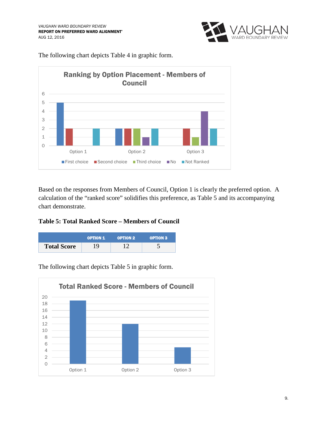

The following chart depicts Table 4 in graphic form.



Based on the responses from Members of Council, Option 1 is clearly the preferred option. A calculation of the "ranked score" solidifies this preference, as Table 5 and its accompanying chart demonstrate.

#### **Table 5: Total Ranked Score – Members of Council**



0 2 4 6 8 10 12 14 16 18 20 Option 1 Option 2 Option 3 Total Ranked Score - Members of Council

The following chart depicts Table 5 in graphic form.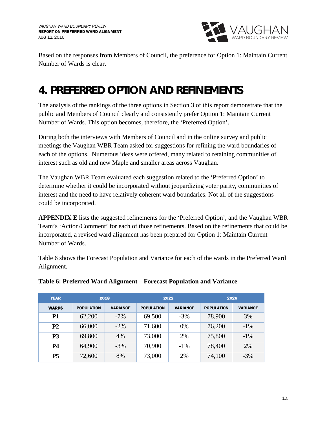

Based on the responses from Members of Council, the preference for Option 1: Maintain Current Number of Wards is clear.

# **4. PREFERRED OPTION AND REFINEMENTS**

The analysis of the rankings of the three options in Section 3 of this report demonstrate that the public and Members of Council clearly and consistently prefer Option 1: Maintain Current Number of Wards. This option becomes, therefore, the 'Preferred Option'.

During both the interviews with Members of Council and in the online survey and public meetings the Vaughan WBR Team asked for suggestions for refining the ward boundaries of each of the options. Numerous ideas were offered, many related to retaining communities of interest such as old and new Maple and smaller areas across Vaughan.

The Vaughan WBR Team evaluated each suggestion related to the 'Preferred Option' to determine whether it could be incorporated without jeopardizing voter parity, communities of interest and the need to have relatively coherent ward boundaries. Not all of the suggestions could be incorporated.

**APPENDIX E** lists the suggested refinements for the 'Preferred Option', and the Vaughan WBR Team's 'Action/Comment' for each of those refinements. Based on the refinements that could be incorporated, a revised ward alignment has been prepared for Option 1: Maintain Current Number of Wards.

Table 6 shows the Forecast Population and Variance for each of the wards in the Preferred Ward Alignment.

| <b>YEAR</b>    | 2018              |                 | 2022              |                 | 2026              |                 |
|----------------|-------------------|-----------------|-------------------|-----------------|-------------------|-----------------|
| <b>WARDS</b>   | <b>POPULATION</b> | <b>VARIANCE</b> | <b>POPULATION</b> | <b>VARIANCE</b> | <b>POPULATION</b> | <b>VARIANCE</b> |
| P1             | 62,200            | $-7\%$          | 69,500            | $-3%$           | 78,900            | 3%              |
| P <sub>2</sub> | 66,000            | $-2\%$          | 71,600            | $0\%$           | 76,200            | $-1\%$          |
| P <sub>3</sub> | 69,800            | 4%              | 73,000            | 2%              | 75,800            | $-1\%$          |
| <b>P4</b>      | 64,900            | $-3\%$          | 70,900            | $-1\%$          | 78,400            | 2%              |
| <b>P5</b>      | 72,600            | 8%              | 73,000            | 2%              | 74,100            | $-3%$           |

#### **Table 6: Preferred Ward Alignment – Forecast Population and Variance**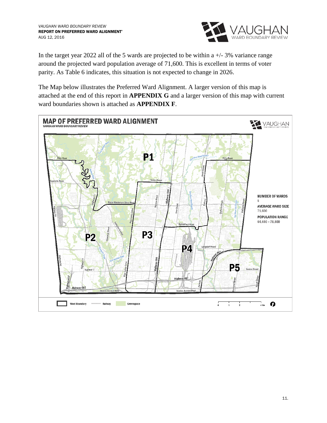

In the target year 2022 all of the 5 wards are projected to be within a  $+/-3\%$  variance range around the projected ward population average of 71,600. This is excellent in terms of voter parity. As Table 6 indicates, this situation is not expected to change in 2026.

The Map below illustrates the Preferred Ward Alignment. A larger version of this map is attached at the end of this report in **APPENDIX G** and a larger version of this map with current ward boundaries shown is attached as **APPENDIX F**.